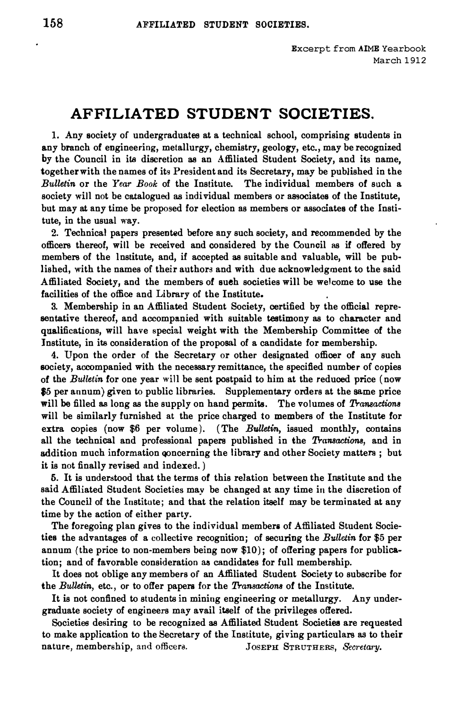## **AFFILIATED STUDENT SOCIETIES.**

**1. Any society of undergraduates at a technical school, comprising students in any branch of engineering, metallurgy, chemistry, geology, etc., may be recognized by the Council in its discretion as an Affiliated Student Society, and its name, together with the names of its President and its Secretary, may be published in the**  *Bulletin* **or the** *Year Book* **of the Institute. The individual members of such a**  society will not be catalogued as individual members or associates of the Institute, **but may at any time be proposed for election as members or associates of the Institute, in the usual way.** 

**2. Technical papers presented before any such society, and recommended by the officers thereof, will be received and considered by the Council as if offered by members of the institute, and, if accepted as suitable and valuable, will be published, with the names of their authors and with due acknowledgment to the said Affiliated Society, and the members of sueh societies will be welcome to use the facilities of the office and Library of the Institute.** 

**3. Membership in an Affiliated Student Society, certified by the official representative thereof, and accompanied with suitable testimony as to character and qualifications, will have special weight with the Membership Committee of the Institute, in its consideration of the proposal of a candidate for membership.** 

**4. Upon the order of the Secretary or other designated officer of any such society, accompanied with the necessary remittance, the specified number of copies of the** *Bulletin* **for one year** will **be sent postpaid to him at the reduced price ( now \$5 per annum) given to public libraries. Supplementary orders at the same price**  will **be filled as long as the supply on hand permits. The volumes of** *Transactions*  **will be similarly furnished at the price charged to members of the Institute for extra copies (now \$6 per volume). (The** *Bulletin,* **issued monthly, contains all the technical and professional papers published in the** *Transactions,* **and in addition much information qoncerning the library and other Society matters ; but it is not finally revised and indexed.)** 

**5. It is understood that the terms of this relation between the Institute and the said Affiliated Student Societies may be changed at any time in the discretion of the Council of the Institute; and that the relation itself may be terminated at any time by the action of either party.** 

**The foregoing plan gives to the individual members of Affiliated Student Societies the advantages of a collective recognition; of securing the** *Bulletin* **for \$5 per annum (the price to non-members being now \$10); of offering papers for publication; and of favorable consideration as candidates for full membership.** 

**It does not oblige any members of an Affiliated Student Society to subscribe for the** *BuUetin,* **etc., or to offer papers for the** *Transactions* **of the Institute.** 

**It is not confined to students in mining engineering or metallurgy. Any undergraduate society of engineers may avail itself of the privileges offered.** 

**Societies desiring to be recognized as Affiliated Student Societies are requested to make application to the Secretary of the Institute, giving particulars as to their nature, membership, and officera.** JosEPH **STRUTHERS,** *Secretary.*